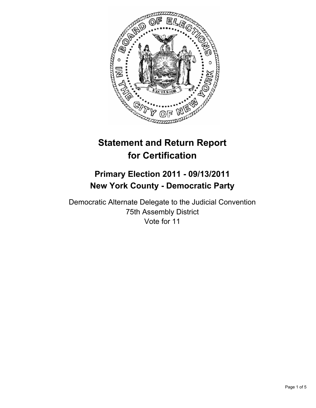

# **Statement and Return Report for Certification**

# **Primary Election 2011 - 09/13/2011 New York County - Democratic Party**

Democratic Alternate Delegate to the Judicial Convention 75th Assembly District Vote for 11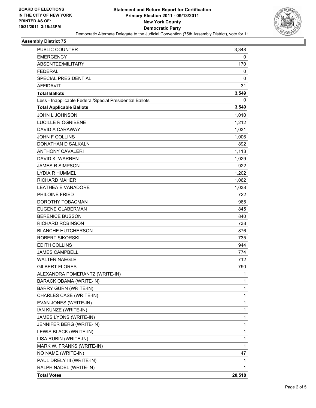

#### **Assembly District 75**

| PUBLIC COUNTER                                           | 3,348  |
|----------------------------------------------------------|--------|
| <b>EMERGENCY</b>                                         | 0      |
| ABSENTEE/MILITARY                                        | 170    |
| <b>FEDERAL</b>                                           | 0      |
| <b>SPECIAL PRESIDENTIAL</b>                              | 0      |
| <b>AFFIDAVIT</b>                                         | 31     |
| <b>Total Ballots</b>                                     | 3,549  |
| Less - Inapplicable Federal/Special Presidential Ballots | 0      |
| <b>Total Applicable Ballots</b>                          | 3,549  |
| JOHN L JOHNSON                                           | 1,010  |
| <b>LUCILLE R OGNIBENE</b>                                | 1,212  |
| DAVID A CARAWAY                                          | 1,031  |
| <b>JOHN F COLLINS</b>                                    | 1,006  |
| DONATHAN D SALKALN                                       | 892    |
| <b>ANTHONY CAVALERI</b>                                  | 1,113  |
| DAVID K. WARREN                                          | 1,029  |
| <b>JAMES R SIMPSON</b>                                   | 922    |
| <b>LYDIA R HUMMEL</b>                                    | 1,202  |
| <b>RICHARD MAHER</b>                                     | 1,062  |
| <b>LEATHEA E VANADORE</b>                                | 1,038  |
| PHILOINE FRIED                                           | 722    |
| DOROTHY TOBACMAN                                         | 965    |
| <b>EUGENE GLABERMAN</b>                                  | 845    |
| <b>BERENICE BUSSON</b>                                   | 840    |
| RICHARD ROBINSON                                         | 738    |
| <b>BLANCHE HUTCHERSON</b>                                | 876    |
| <b>ROBERT SIKORSKI</b>                                   | 735    |
| <b>EDITH COLLINS</b>                                     | 944    |
| <b>JAMES CAMPBELL</b>                                    | 774    |
| <b>WALTER NAEGLE</b>                                     | 712    |
| <b>GILBERT FLORES</b>                                    | 790    |
| ALEXANDRA POMERANTZ (WRITE-IN)                           | 1      |
| BARACK OBAMA (WRITE-IN)                                  | 1      |
| <b>BARRY GURN (WRITE-IN)</b>                             | 1      |
| CHARLES CASE (WRITE-IN)                                  | 1      |
| EVAN JONES (WRITE-IN)                                    | 1      |
| IAN KUNZE (WRITE-IN)                                     | 1      |
| JAMES LYONS (WRITE-IN)                                   | 1      |
| JENNIFER BERG (WRITE-IN)                                 | 1      |
| LEWIS BLACK (WRITE-IN)                                   | 1      |
| LISA RUBIN (WRITE-IN)                                    | 1      |
| MARK W. FRANKS (WRITE-IN)                                | 1      |
| NO NAME (WRITE-IN)                                       | 47     |
| PAUL DRELY III (WRITE-IN)                                | 1      |
| RALPH NADEL (WRITE-IN)                                   | 1      |
| <b>Total Votes</b>                                       | 20,518 |
|                                                          |        |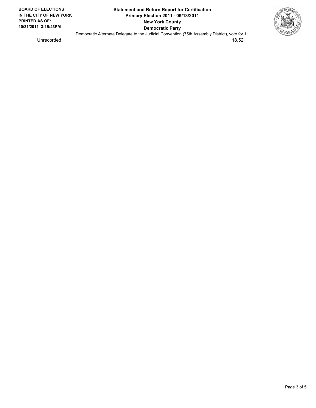

Unrecorded 18,521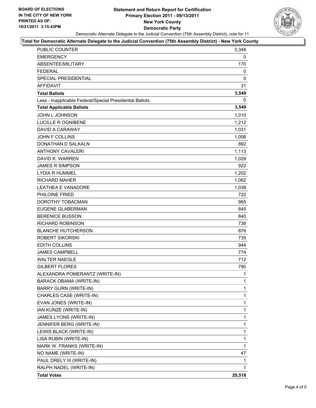### **Statement and Return Report for Certification Primary Election 2011 - 09/13/2011 New York County Democratic Party** Democratic Alternate Delegate to the Judicial Convention (75th Assembly District), vote for 11



#### **Total for Democratic Alternate Delegate to the Judicial Convention (75th Assembly District) - New York County**

| PUBLIC COUNTER                                           | 3,348  |
|----------------------------------------------------------|--------|
| <b>EMERGENCY</b>                                         | 0      |
| ABSENTEE/MILITARY                                        | 170    |
| <b>FEDERAL</b>                                           | 0      |
| <b>SPECIAL PRESIDENTIAL</b>                              | 0      |
| <b>AFFIDAVIT</b>                                         | 31     |
| <b>Total Ballots</b>                                     | 3,549  |
| Less - Inapplicable Federal/Special Presidential Ballots | 0      |
| <b>Total Applicable Ballots</b>                          | 3,549  |
| JOHN L JOHNSON                                           | 1,010  |
| <b>LUCILLE R OGNIBENE</b>                                | 1,212  |
| DAVID A CARAWAY                                          | 1,031  |
| <b>JOHN F COLLINS</b>                                    | 1,006  |
| DONATHAN D SALKALN                                       | 892    |
| <b>ANTHONY CAVALERI</b>                                  | 1,113  |
| DAVID K. WARREN                                          | 1,029  |
| <b>JAMES R SIMPSON</b>                                   | 922    |
| LYDIA R HUMMEL                                           | 1,202  |
| <b>RICHARD MAHER</b>                                     | 1,062  |
| <b>LEATHEA E VANADORE</b>                                | 1,038  |
| PHILOINE FRIED                                           | 722    |
| DOROTHY TOBACMAN                                         | 965    |
| <b>EUGENE GLABERMAN</b>                                  | 845    |
| <b>BERENICE BUSSON</b>                                   | 840    |
| RICHARD ROBINSON                                         | 738    |
| <b>BLANCHE HUTCHERSON</b>                                | 876    |
| ROBERT SIKORSKI                                          | 735    |
| EDITH COLLINS                                            | 944    |
| <b>JAMES CAMPBELL</b>                                    | 774    |
| <b>WALTER NAEGLE</b>                                     | 712    |
| <b>GILBERT FLORES</b>                                    | 790    |
| ALEXANDRA POMERANTZ (WRITE-IN)                           | 1      |
| BARACK OBAMA (WRITE-IN)                                  | 1      |
| <b>BARRY GURN (WRITE-IN)</b>                             | 1      |
| CHARLES CASE (WRITE-IN)                                  | 1      |
| EVAN JONES (WRITE-IN)                                    | 1      |
| IAN KUNZE (WRITE-IN)                                     | 1      |
| JAMES LYONS (WRITE-IN)                                   | 1      |
| JENNIFER BERG (WRITE-IN)                                 | 1      |
| LEWIS BLACK (WRITE-IN)                                   | 1      |
| LISA RUBIN (WRITE-IN)                                    | 1      |
| MARK W. FRANKS (WRITE-IN)                                | 1      |
| NO NAME (WRITE-IN)                                       | 47     |
| PAUL DRELY III (WRITE-IN)                                | 1      |
| RALPH NADEL (WRITE-IN)                                   | 1      |
| <b>Total Votes</b>                                       | 20,518 |